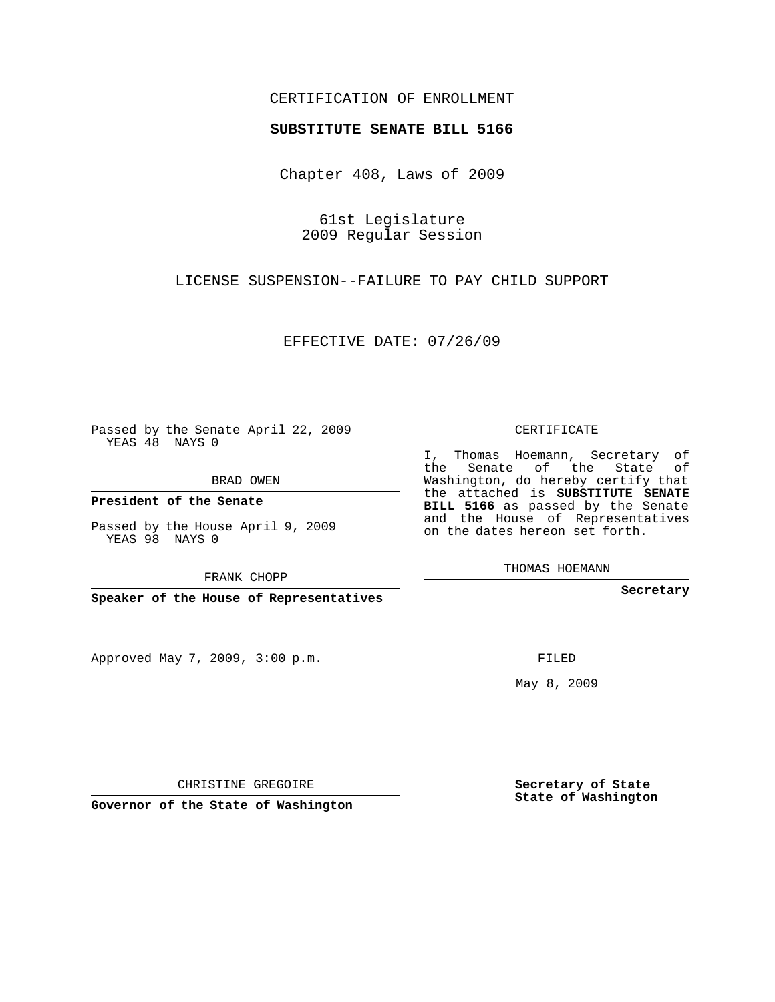## CERTIFICATION OF ENROLLMENT

## **SUBSTITUTE SENATE BILL 5166**

Chapter 408, Laws of 2009

61st Legislature 2009 Regular Session

LICENSE SUSPENSION--FAILURE TO PAY CHILD SUPPORT

EFFECTIVE DATE: 07/26/09

Passed by the Senate April 22, 2009 YEAS 48 NAYS 0

BRAD OWEN

**President of the Senate**

Passed by the House April 9, 2009 YEAS 98 NAYS 0

FRANK CHOPP

**Speaker of the House of Representatives**

Approved May 7, 2009, 3:00 p.m.

CERTIFICATE

I, Thomas Hoemann, Secretary of the Senate of the State of Washington, do hereby certify that the attached is **SUBSTITUTE SENATE BILL 5166** as passed by the Senate and the House of Representatives on the dates hereon set forth.

THOMAS HOEMANN

**Secretary**

FILED

May 8, 2009

**Secretary of State State of Washington**

CHRISTINE GREGOIRE

**Governor of the State of Washington**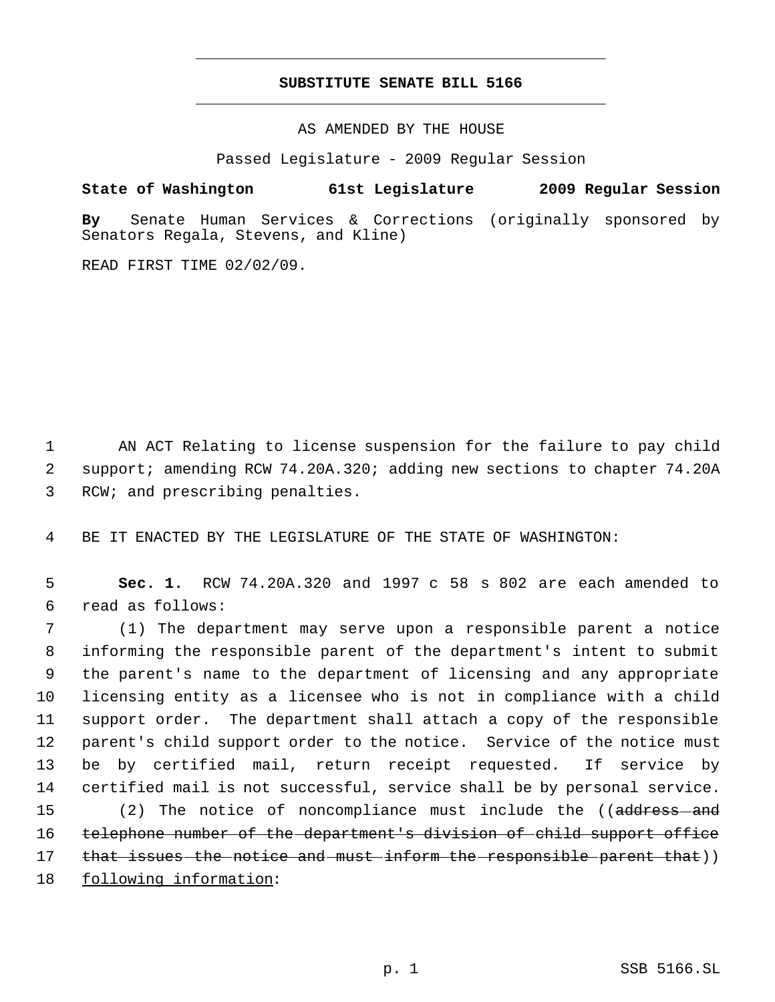## **SUBSTITUTE SENATE BILL 5166** \_\_\_\_\_\_\_\_\_\_\_\_\_\_\_\_\_\_\_\_\_\_\_\_\_\_\_\_\_\_\_\_\_\_\_\_\_\_\_\_\_\_\_\_\_

\_\_\_\_\_\_\_\_\_\_\_\_\_\_\_\_\_\_\_\_\_\_\_\_\_\_\_\_\_\_\_\_\_\_\_\_\_\_\_\_\_\_\_\_\_

AS AMENDED BY THE HOUSE

Passed Legislature - 2009 Regular Session

## **State of Washington 61st Legislature 2009 Regular Session**

**By** Senate Human Services & Corrections (originally sponsored by Senators Regala, Stevens, and Kline)

READ FIRST TIME 02/02/09.

1 AN ACT Relating to license suspension for the failure to pay child 2 support; amending RCW 74.20A.320; adding new sections to chapter 74.20A 3 RCW; and prescribing penalties.

4 BE IT ENACTED BY THE LEGISLATURE OF THE STATE OF WASHINGTON:

 5 **Sec. 1.** RCW 74.20A.320 and 1997 c 58 s 802 are each amended to 6 read as follows:

 (1) The department may serve upon a responsible parent a notice informing the responsible parent of the department's intent to submit the parent's name to the department of licensing and any appropriate licensing entity as a licensee who is not in compliance with a child support order. The department shall attach a copy of the responsible parent's child support order to the notice. Service of the notice must be by certified mail, return receipt requested. If service by certified mail is not successful, service shall be by personal service. 15 (2) The notice of noncompliance must include the ((<del>address and</del> telephone number of the department's division of child support office 17 that issues the notice and must inform the responsible parent that)) following information: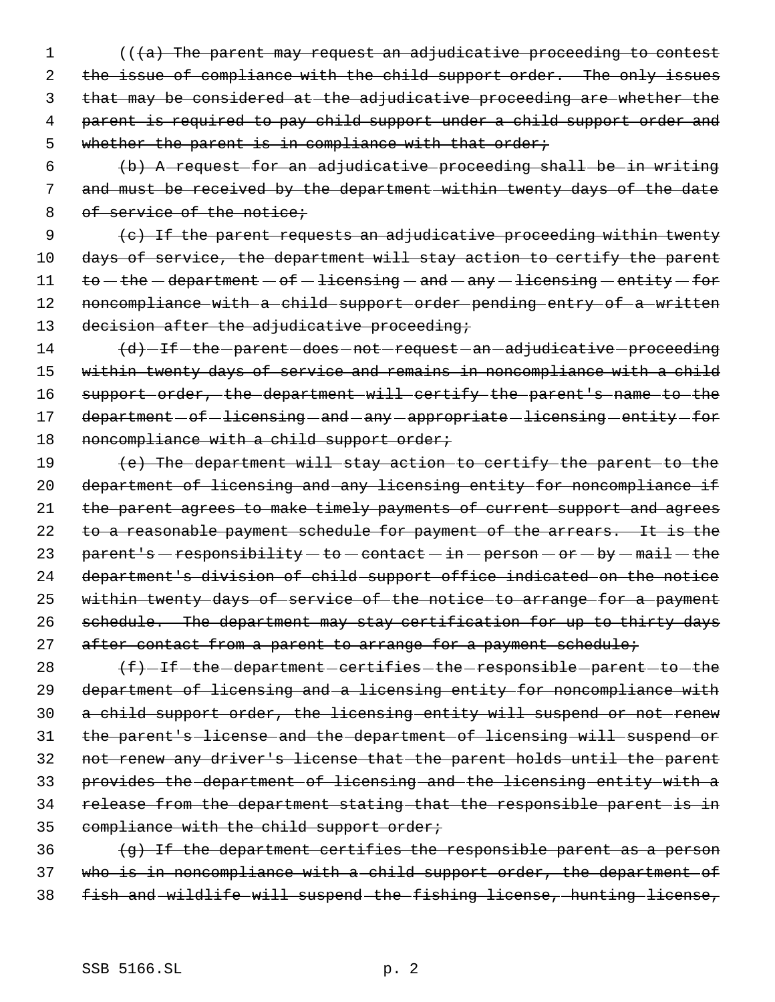1 (((a) The parent may request an adjudicative proceeding to contest 2 the issue of compliance with the child support order. The only issues 3 that may be considered at the adjudicative proceeding are whether the 4 parent is required to pay child support under a child support order and 5 whether the parent is in compliance with that order;

 6 (b) A request for an adjudicative proceeding shall be in writing 7 and must be received by the department within twenty days of the date 8 of service of the notice;

 9 (c) If the parent requests an adjudicative proceeding within twenty 10 days of service, the department will stay action to certify the parent 11  $to$  -the -department - of - licensing - and - any - licensing - entity - for 12 noncompliance with a child support order pending entry of a written 13 decision after the adjudicative proceeding;

14 (d) - If - the - parent - does - not - request - an - adjudicative - proceeding 15 within twenty days of service and remains in noncompliance with a child 16 support order, the department will certify the parent's name to the 17 department - of - licensing - and - any - appropriate - licensing - entity - for 18 noncompliance with a child support order;

19 (e) The department will stay action to certify the parent to the 20 department of licensing and any licensing entity for noncompliance if 21 the parent agrees to make timely payments of current support and agrees 22 to a reasonable payment schedule for payment of the arrears. It is the 23 parent's - responsibility - to - contact - in - person - or - by - mail - the 24 department's division of child support office indicated on the notice 25 within twenty days of service of the notice to arrange for a payment 26 schedule. The department may stay certification for up to thirty days 27 after contact from a parent to arrange for a payment schedule;

  $(f)-If$  the department certifies the responsible parent to the department of licensing and a licensing entity for noncompliance with a child support order, the licensing entity will suspend or not renew the parent's license and the department of licensing will suspend or not renew any driver's license that the parent holds until the parent provides the department of licensing and the licensing entity with a release from the department stating that the responsible parent is in 35 compliance with the child support order;

 $36$  (g) If the department certifies the responsible parent as a person 37 who is in noncompliance with a child support order, the department of 38 fish and wildlife will suspend the fishing license, hunting license,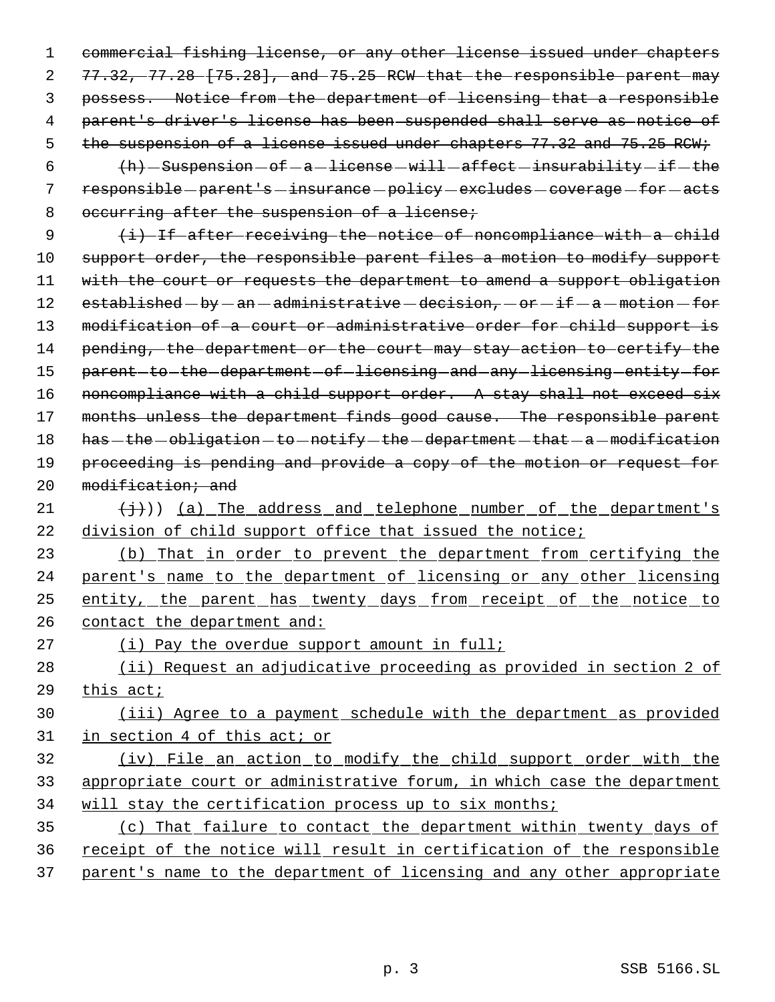1 commercial fishing license, or any other license issued under chapters 2 77.32, 77.28 [75.28], and 75.25 RCW that the responsible parent may 3 possess. Notice from the department of licensing that a responsible 4 parent's driver's license has been suspended shall serve as notice of 5 the suspension of a license issued under chapters 77.32 and 75.25 RCW;

6  $(h)$  - Suspension  $-$  of  $-a$  -license  $-will$  affect  $-$  insurability  $-i$  f  $-$  the 7 responsible - parent's - insurance - policy - excludes - coverage - for - acts 8 occurring after the suspension of a license;

9 (i) If after receiving the notice of noncompliance with a child 10 support order, the responsible parent files a motion to modify support 11 with the court or requests the department to amend a support obligation 12  $established - by - an - administrative - decision, - or - if - a - motion - for$ 13 modification of a court or administrative order for child support is 14 pending, the department or the court may stay action to certify the 15 parent-to-the-department-of-licensing-and-any-licensing-entity-for 16 noncompliance with a child support order. A stay shall not exceed six 17 months unless the department finds good cause. The responsible parent 18 has - the - obligation - to - notify - the - department - that - a - modification 19 proceeding is pending and provide a copy of the motion or request for 20 modification; and

21  $(\frac{1}{2})$  (a) The address and telephone number of the department's 22 division of child support office that issued the notice;

 (b) That in order to prevent the department from certifying the parent's name to the department of licensing or any other licensing entity, the parent has twenty days from receipt of the notice to contact the department and:

27 (i) Pay the overdue support amount in full;

28 (ii) Request an adjudicative proceeding as provided in section 2 of 29 this act;

30 (iii) Agree to a payment schedule with the department as provided 31 in section 4 of this act; or

32 (iv) File an action to modify the child support order with the 33 appropriate court or administrative forum, in which case the department 34 will stay the certification process up to six months;

35 (c) That failure to contact the department within twenty days of 36 receipt of the notice will result in certification of the responsible 37 parent's name to the department of licensing and any other appropriate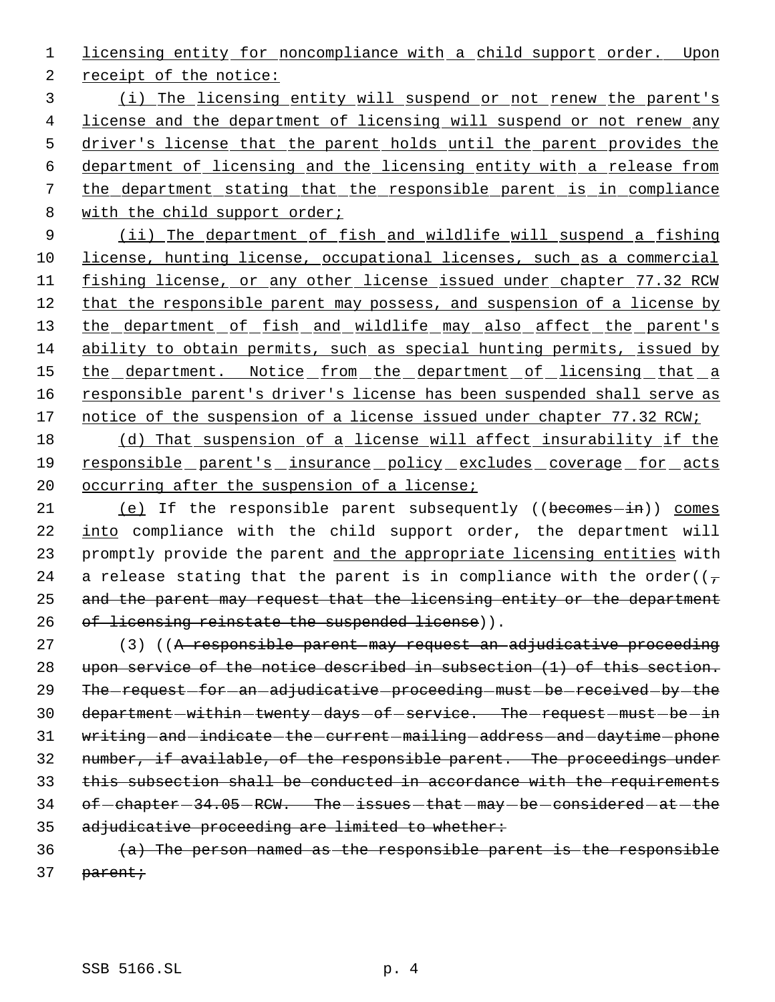1 licensing entity for noncompliance with a child support order. Upon

2 receipt of the notice:

 (i) The licensing entity will suspend or not renew the parent's license and the department of licensing will suspend or not renew any driver's license that the parent holds until the parent provides the department of licensing and the licensing entity with a release from the department stating that the responsible parent is in compliance 8 with the child support order;

9 (ii) The department of fish and wildlife will suspend a fishing 10 license, hunting license, occupational licenses, such as a commercial 11 fishing license, or any other license issued under chapter 77.32 RCW 12 that the responsible parent may possess, and suspension of a license by 13 the department of fish and wildlife may also affect the parent's 14 ability to obtain permits, such as special hunting permits, issued by 15 the department. Notice from the department of licensing that a 16 responsible parent's driver's license has been suspended shall serve as 17 notice of the suspension of a license issued under chapter 77.32 RCW;

18 (d) That suspension of a license will affect insurability if the 19 responsible parent's insurance policy excludes coverage for acts 20 occurring after the suspension of a license;

21 (e) If the responsible parent subsequently ((becomes-in)) comes 22 into compliance with the child support order, the department will 23 promptly provide the parent and the appropriate licensing entities with 24 a release stating that the parent is in compliance with the order( $(\tau$ 25 and the parent may request that the licensing entity or the department 26 of licensing reinstate the suspended license)).

27 (3) ((A responsible parent may request an adjudicative proceeding 28 upon service of the notice described in subsection (1) of this section. 29 The request for an adjudicative proceeding must be received by the 30 department-within-twenty-days-of-service. The-request-must-be-in 31 writing-and-indicate-the-current-mailing-address-and-daytime-phone 32 number, if available, of the responsible parent. The proceedings under 33 this subsection shall be conducted in accordance with the requirements 34 of -chapter - 34.05 - RCW. The -issues -that - may - be -considered - at -the 35 adjudicative proceeding are limited to whether:

 $(a)$  The person named as the responsible parent is the responsible 37 parent;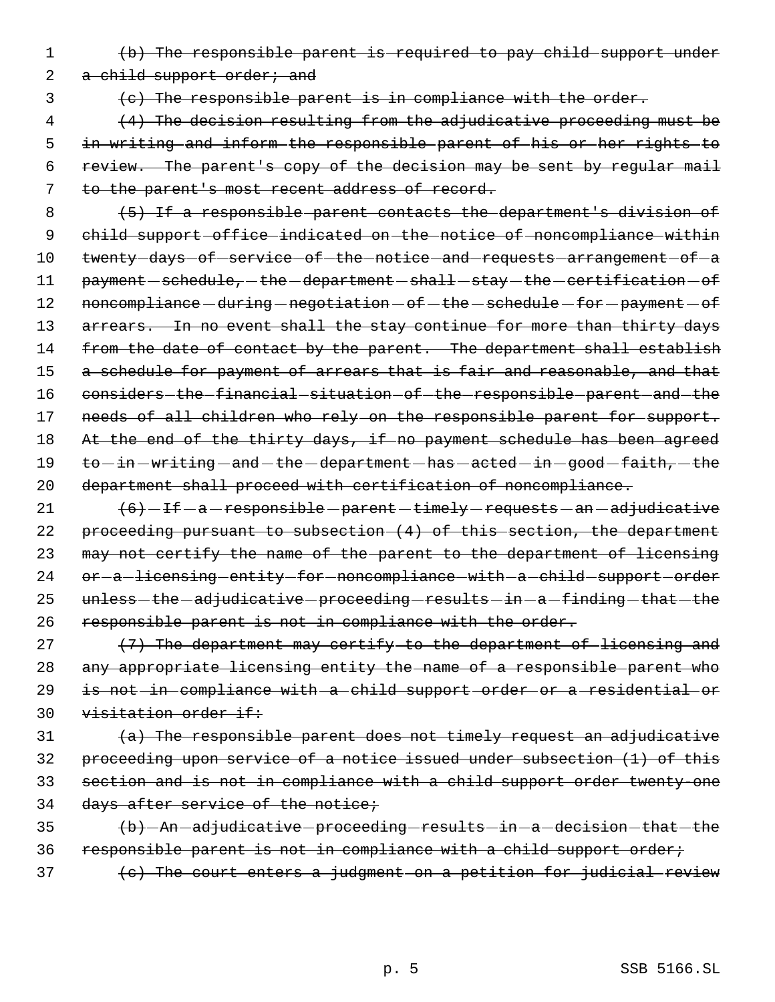1 (b) The responsible parent is required to pay child support under

2 a child support order; and

3 (c) The responsible parent is in compliance with the order.

 (4) The decision resulting from the adjudicative proceeding must be in writing and inform the responsible parent of his or her rights to review. The parent's copy of the decision may be sent by regular mail to the parent's most recent address of record.

- 8 (5) If a responsible parent contacts the department's division of 9 child support office indicated on the notice of noncompliance within 10 twenty-days-of-service-of-the-notice-and-requests-arrangement-of-a 11 payment - schedule, - the - department - shall - stay - the - certification - of 12 noncompliance - during - negotiation - of - the - schedule - for - payment - of 13 arrears. In no event shall the stay continue for more than thirty days 14 from the date of contact by the parent. The department shall establish 15 a schedule for payment of arrears that is fair and reasonable, and that 16 considers the financial situation of the responsible parent and the 17 needs of all children who rely on the responsible parent for support. 18 At the end of the thirty days, if no payment schedule has been agreed 19 to -in -writing -and -the -department -has -acted -in -good -faith, -the 20 department shall proceed with certification of noncompliance.
- 21  $(6)$  -If  $-a$  -responsible -parent -timely -requests -an -adjudicative 22 proceeding pursuant to subsection (4) of this section, the department 23 may not certify the name of the parent to the department of licensing 24 or-a-licensing-entity-for-noncompliance-with-a-child-support-order 25 unless - the - adjudicative - proceeding - results - in - a - finding - that - the 26 responsible parent is not in compliance with the order.
- 27  $(7)$  The department may certify to the department of licensing and 28 any appropriate licensing entity the name of a responsible parent who 29 is not in compliance with a child support order or a residential or 30 visitation order if:
- $\{a\}$  The responsible parent does not timely request an adjudicative 32 proceeding upon service of a notice issued under subsection (1) of this 33 section and is not in compliance with a child support order twenty-one 34 days after service of the notice;
- $35$   $\langle b \rangle$  -An -adjudicative -proceeding -results -in -a -decision -that -the 36 responsible parent is not in compliance with a child support order;
- $37$  (c) The court enters a judgment on a petition for judicial review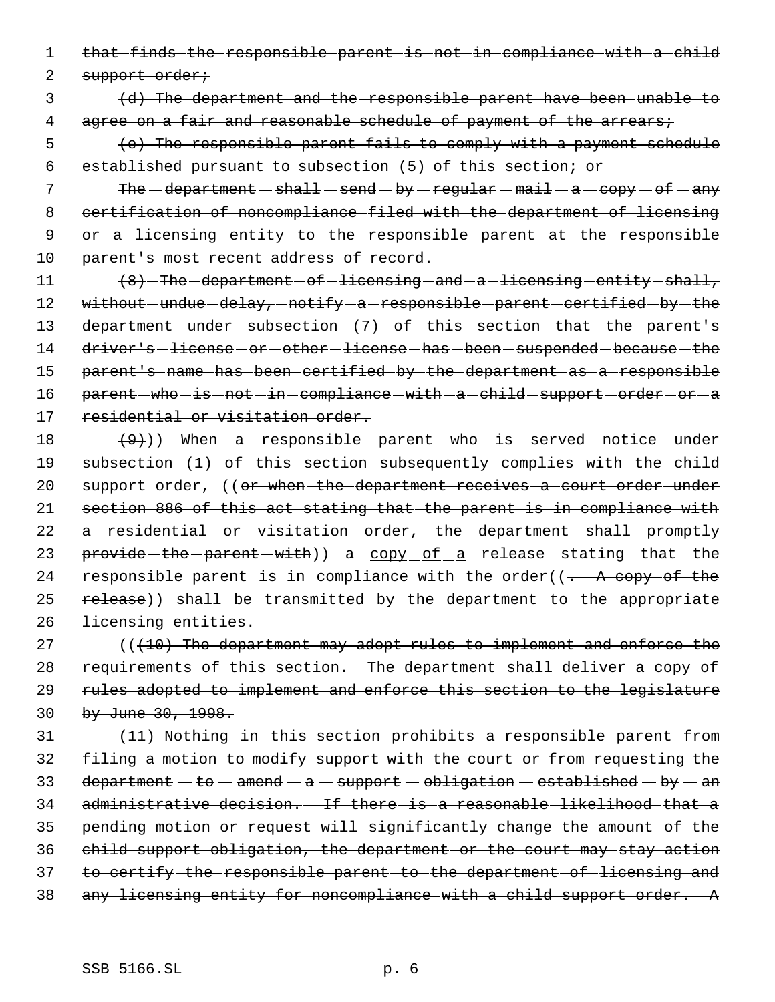1 that finds the responsible parent is not in compliance with a child

2 support order;

 3 (d) The department and the responsible parent have been unable to 4 agree on a fair and reasonable schedule of payment of the arrears;

 5 (e) The responsible parent fails to comply with a payment schedule 6 established pursuant to subsection (5) of this section; or

7 The  $-department$  shall  $-$  send  $-$  by  $-$  regular  $-$  mail  $-$  a  $-$  copy  $-$  of  $-$  any 8 certification of noncompliance filed with the department of licensing 9 or -a licensing entity to the responsible parent at the responsible 10 parent's most recent address of record.

11 (8) The department of licensing and a licensing entity shall, 12 without-undue-delay,-notify-a-responsible-parent-certified-by-the 13 department - under - subsection -  $(7)$  - of -this - section - that - the - parent's 14 driver's-license-or-other-license-has-been-suspended-because-the 15 parent's name has been certified by the department as a responsible 16 parent-who-is-not-in-compliance-with-a-child-support-order-or-a 17 residential or visitation order.

18  $(9+)$ ) When a responsible parent who is served notice under 19 subsection (1) of this section subsequently complies with the child 20 support order, ((or when the department receives a court order under 21 section 886 of this act stating that the parent is in compliance with 22 a-residential-or-visitation-order,-the-department-shall-promptly 23 provide-the-parent-with) a copy of a release stating that the 24 responsible parent is in compliance with the order( $(-$  A copy of the 25 release)) shall be transmitted by the department to the appropriate 26 licensing entities.

 $(110)$  The department may adopt rules to implement and enforce the requirements of this section. The department shall deliver a copy of rules adopted to implement and enforce this section to the legislature by June 30, 1998.

 (11) Nothing in this section prohibits a responsible parent from filing a motion to modify support with the court or from requesting the 33 department  $-$  to  $-$  amend  $-$  a  $-$  support  $-$  obligation  $-$  established  $-$  by  $-$  an administrative decision. If there is a reasonable likelihood that a pending motion or request will significantly change the amount of the child support obligation, the department or the court may stay action to certify the responsible parent to the department of licensing and any licensing entity for noncompliance with a child support order. A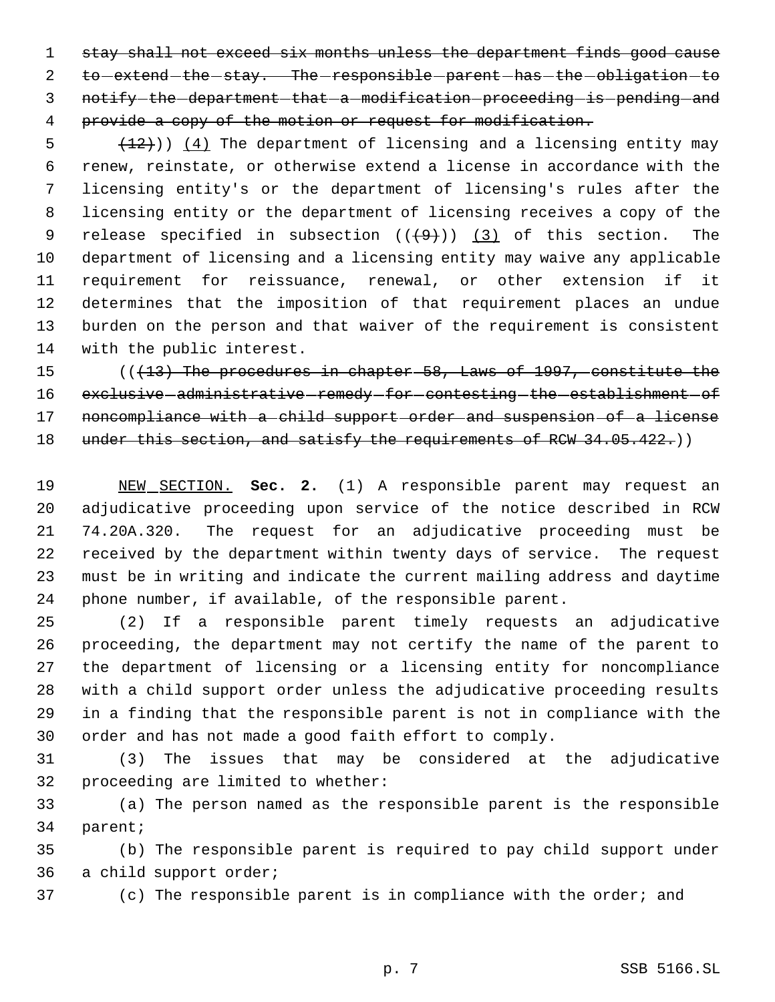stay shall not exceed six months unless the department finds good cause 2 to extend the stay. The responsible parent has the obligation to 3 notify the department that a modification proceeding is pending and provide a copy of the motion or request for modification.

 $\left( \frac{12}{12} \right)$ )  $\left( \frac{4}{12} \right)$  The department of licensing and a licensing entity may renew, reinstate, or otherwise extend a license in accordance with the licensing entity's or the department of licensing's rules after the licensing entity or the department of licensing receives a copy of the 9 release specified in subsection  $((+9))$   $(3)$  of this section. The department of licensing and a licensing entity may waive any applicable requirement for reissuance, renewal, or other extension if it determines that the imposition of that requirement places an undue burden on the person and that waiver of the requirement is consistent with the public interest.

 (((13) The procedures in chapter 58, Laws of 1997, constitute the 16 exclusive administrative remedy for contesting the establishment of 17 noncompliance with a child support order and suspension of a license 18 under this section, and satisfy the requirements of RCW 34.05.422.)

 NEW SECTION. **Sec. 2.** (1) A responsible parent may request an adjudicative proceeding upon service of the notice described in RCW 74.20A.320. The request for an adjudicative proceeding must be received by the department within twenty days of service. The request must be in writing and indicate the current mailing address and daytime phone number, if available, of the responsible parent.

 (2) If a responsible parent timely requests an adjudicative proceeding, the department may not certify the name of the parent to the department of licensing or a licensing entity for noncompliance with a child support order unless the adjudicative proceeding results in a finding that the responsible parent is not in compliance with the order and has not made a good faith effort to comply.

 (3) The issues that may be considered at the adjudicative proceeding are limited to whether:

 (a) The person named as the responsible parent is the responsible parent;

 (b) The responsible parent is required to pay child support under a child support order;

(c) The responsible parent is in compliance with the order; and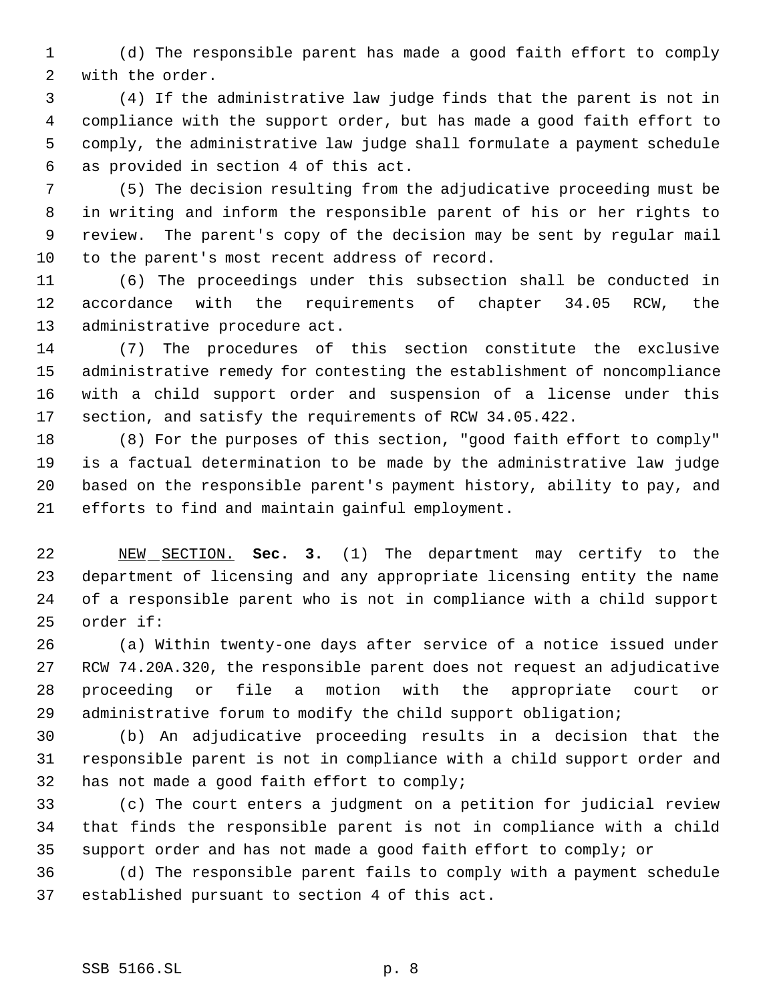(d) The responsible parent has made a good faith effort to comply with the order.

 (4) If the administrative law judge finds that the parent is not in compliance with the support order, but has made a good faith effort to comply, the administrative law judge shall formulate a payment schedule as provided in section 4 of this act.

 (5) The decision resulting from the adjudicative proceeding must be in writing and inform the responsible parent of his or her rights to review. The parent's copy of the decision may be sent by regular mail to the parent's most recent address of record.

 (6) The proceedings under this subsection shall be conducted in accordance with the requirements of chapter 34.05 RCW, the administrative procedure act.

 (7) The procedures of this section constitute the exclusive administrative remedy for contesting the establishment of noncompliance with a child support order and suspension of a license under this section, and satisfy the requirements of RCW 34.05.422.

 (8) For the purposes of this section, "good faith effort to comply" is a factual determination to be made by the administrative law judge based on the responsible parent's payment history, ability to pay, and efforts to find and maintain gainful employment.

 NEW SECTION. **Sec. 3.** (1) The department may certify to the department of licensing and any appropriate licensing entity the name of a responsible parent who is not in compliance with a child support order if:

 (a) Within twenty-one days after service of a notice issued under RCW 74.20A.320, the responsible parent does not request an adjudicative proceeding or file a motion with the appropriate court or administrative forum to modify the child support obligation;

 (b) An adjudicative proceeding results in a decision that the responsible parent is not in compliance with a child support order and has not made a good faith effort to comply;

 (c) The court enters a judgment on a petition for judicial review that finds the responsible parent is not in compliance with a child support order and has not made a good faith effort to comply; or

 (d) The responsible parent fails to comply with a payment schedule established pursuant to section 4 of this act.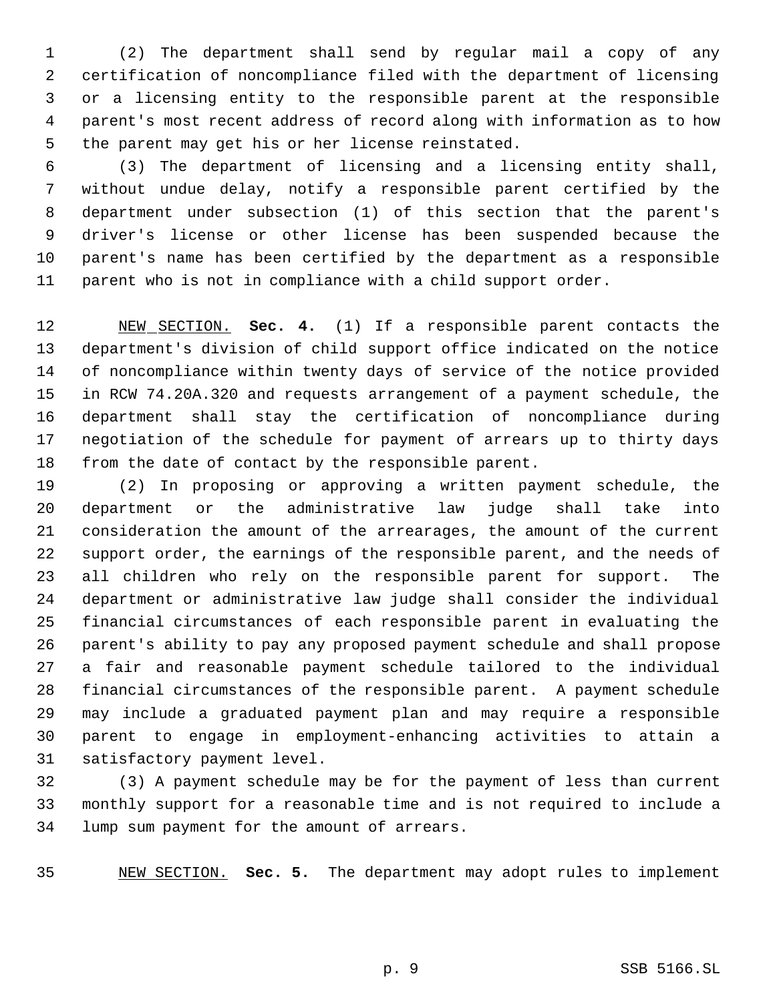(2) The department shall send by regular mail a copy of any certification of noncompliance filed with the department of licensing or a licensing entity to the responsible parent at the responsible parent's most recent address of record along with information as to how the parent may get his or her license reinstated.

 (3) The department of licensing and a licensing entity shall, without undue delay, notify a responsible parent certified by the department under subsection (1) of this section that the parent's driver's license or other license has been suspended because the parent's name has been certified by the department as a responsible parent who is not in compliance with a child support order.

 NEW SECTION. **Sec. 4.** (1) If a responsible parent contacts the department's division of child support office indicated on the notice of noncompliance within twenty days of service of the notice provided in RCW 74.20A.320 and requests arrangement of a payment schedule, the department shall stay the certification of noncompliance during negotiation of the schedule for payment of arrears up to thirty days from the date of contact by the responsible parent.

 (2) In proposing or approving a written payment schedule, the department or the administrative law judge shall take into consideration the amount of the arrearages, the amount of the current support order, the earnings of the responsible parent, and the needs of all children who rely on the responsible parent for support. The department or administrative law judge shall consider the individual financial circumstances of each responsible parent in evaluating the parent's ability to pay any proposed payment schedule and shall propose a fair and reasonable payment schedule tailored to the individual financial circumstances of the responsible parent. A payment schedule may include a graduated payment plan and may require a responsible parent to engage in employment-enhancing activities to attain a satisfactory payment level.

 (3) A payment schedule may be for the payment of less than current monthly support for a reasonable time and is not required to include a lump sum payment for the amount of arrears.

NEW SECTION. **Sec. 5.** The department may adopt rules to implement